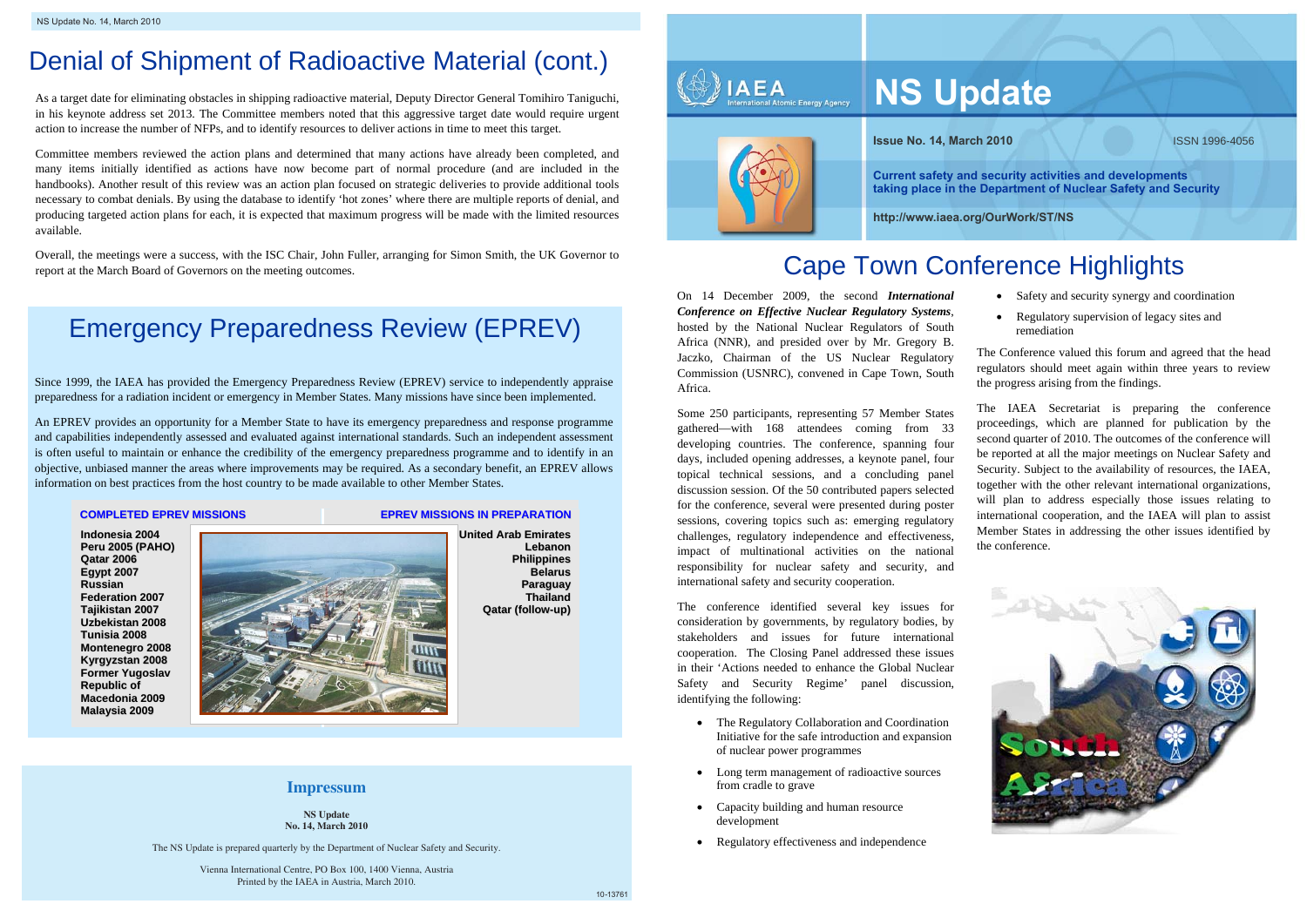

**Current safety and security activities anddevelopments taking place in the Department of Nuclear Safety andSecurity**

As a target date for eli minating obstacles in shipping radioactive material, Deputy Director General To mihiro Taniguchi, in his keynote address set 2013. T he Committee members noted that this aggressive target date would require urgent action to increase the number of NFPs, and to identify resources to deliver actions in time to meet this target.

Overall, the meetings were a success, with the ISC Chair, John Fuller, arranging for Simon Smith, the UK Governor t o Overall, the meetings were a success, with the ISC Chair, John Fuller, arranging for Simon Smith, the UK Governor to<br>report at the March Board of Governors on the meeting outcomes.

Committee members reviewed the action plans and determined that many actions have already been co m pleted, and many items initiall y identified as actions have now beco me part of normal procedure (and are included in the handbooks). Another result of this review was an action plan focused on strategic deliveries to provide additional tools necessary to combat denials. By using the database to identify 'hot zones' where there are multiple reports of denial, and producing tar geted action plans for each, it is expected that maxi mum progress will be made with the limited resources available.

# Denial of Shipment of Radioactive Material (cont. )

# Emergency Preparedness Review (EPREV)

- Safety and security synergy and coordination
- Regulatory supervision of legacy sites and remediation

Since 1999, t he IAEA has provided the Emergency Preparedness Review (EPREV) service to independentl y appraise preparedness for a radiation incident or emergency in Me mber States. Many missions have since been i mple mented.

An EPREV provides an opportunit y for a Member State to have its emergency preparedness and response programme and capabilities independently assessed and evaluated against international standards. Such an independent assessment is often useful to maintain or enhance the credibility of the emergency preparedness programme and to identify in an objective, unbiased manner the areas where improvements may be required. As a secondary benefit, an E PREV allows information on best practices fro m the host countr y t o be made available to other Member States.

### **COMPLETEDEPREVMISSIONS**

**Indonesia2004Peru2005 (P AHO) Qatar 2006Eg y pt 2 007RussianFederation2007 Tajikistan 2 0 0 7 Uzbekistan2008Tunisia2008Monte ne gro 2 0 0 8 Kyrg y z sta n 2 0 0 8 F orm er Y u g o sla v Re p ublic of Macedonia2009Malay sia2009**

### **EPREVMISSIONS INPREPARATION**



**Unite d Ara b Emirate s LebanonPhilip pin esBelarusParag uay ThailandQatar (follo w-up)**

# **Impressum**

The Conference valued this forum and agreed that the head regulators should meet again within t hree years to review the progress arising from the findings.

The IAEA Secretariat is preparing the conference proceedings, which are planned for publication by the second quarter of 2010. The outcomes of the conference will be reported at all the major meetings on Nuclear Safety and Security. Subject to the availability of resources, the IAEA, together with the other relevant international organizations, will plan to address especially those issues relating to international cooperation, and the IAEA will plan t o assist Me mber States in addressing the other issues identified by the conference.



On 14 December 2009, the secon d *International Conference on Effective Nuclear Regulatory Syste ms*, hosted by the National Nuclear Regulators of South Africa (NNR), and presided over b y Mr. Gregory B. Jaczko, Chairman of the US Nuclear Regulatory Commission (USNRC), convened i n Cape Town, South Africa.

Some 250 participants, representing 57 Member States gathered—with 168 attendees coming from 33 developing countries. The conference, spanning four days, included opening addresses, a keynote panel, four topical technical sessions, and a concluding panel discussion session. Of the 50 contribute d papers selected for the conference, several were presented during poster sessions, covering topics such as: e merging regulatory challenges, regulatory independence and effectiveness, impact of m ultinational activities on t he national responsibility for nuclear safety and security, and international safety and security cooperation.

The conference identified several key issues for consideration by governments, b y regulatory bodies, b y stakeholders and issues for future international cooperation. The Closing Panel addressed these issues in their 'Actions needed to enhance the Global NuclearSafety an d Securit y Regime' panel discussion, identifying the following:

- The Regulatory Collaboration and Coordination Initiative for t he safe introduction and expansion of nuclear power programmes
- Long term management of radioactive sources from cradle t o grave
- Capacity building and human resource development
- Regulatory effectiveness and independence

**NS Update No. 14, March 2010**

The NS Update is prepared quarterly by the Department of Nuclear Safety and Security.

8Printed by the IAEA in Austria, March 2010. Vienna International Centre, PO Box 100, 1400 Vienna, Austria